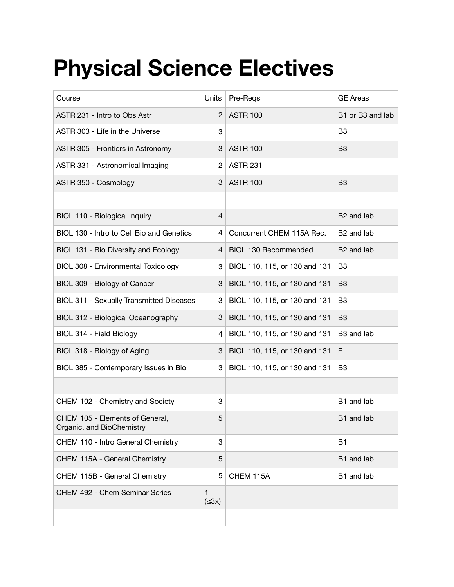## **Physical Science Electives**

| Course                                                       | Units            | Pre-Regs                      | <b>GE Areas</b>        |
|--------------------------------------------------------------|------------------|-------------------------------|------------------------|
| ASTR 231 - Intro to Obs Astr                                 | $\overline{2}$   | <b>ASTR 100</b>               | B1 or B3 and lab       |
| ASTR 303 - Life in the Universe                              | 3                |                               | B <sub>3</sub>         |
| ASTR 305 - Frontiers in Astronomy                            | 3                | <b>ASTR 100</b>               | B <sub>3</sub>         |
| ASTR 331 - Astronomical Imaging                              | $\overline{2}$   | <b>ASTR 231</b>               |                        |
| ASTR 350 - Cosmology                                         | 3                | <b>ASTR 100</b>               | B <sub>3</sub>         |
|                                                              |                  |                               |                        |
| BIOL 110 - Biological Inquiry                                | $\overline{4}$   |                               | B <sub>2</sub> and lab |
| BIOL 130 - Intro to Cell Bio and Genetics                    | 4                | Concurrent CHEM 115A Rec.     | B <sub>2</sub> and lab |
| BIOL 131 - Bio Diversity and Ecology                         | 4                | <b>BIOL 130 Recommended</b>   | B <sub>2</sub> and lab |
| BIOL 308 - Environmental Toxicology                          | 3                | BIOL 110, 115, or 130 and 131 | B <sub>3</sub>         |
| BIOL 309 - Biology of Cancer                                 | 3                | BIOL 110, 115, or 130 and 131 | B <sub>3</sub>         |
| BIOL 311 - Sexually Transmitted Diseases                     | 3                | BIOL 110, 115, or 130 and 131 | B <sub>3</sub>         |
| BIOL 312 - Biological Oceanography                           | 3                | BIOL 110, 115, or 130 and 131 | B <sub>3</sub>         |
| BIOL 314 - Field Biology                                     | $\overline{4}$   | BIOL 110, 115, or 130 and 131 | B3 and lab             |
| BIOL 318 - Biology of Aging                                  | 3                | BIOL 110, 115, or 130 and 131 | Е                      |
| BIOL 385 - Contemporary Issues in Bio                        | 3                | BIOL 110, 115, or 130 and 131 | B <sub>3</sub>         |
|                                                              |                  |                               |                        |
| CHEM 102 - Chemistry and Society                             | 3                |                               | B1 and lab             |
| CHEM 105 - Elements of General,<br>Organic, and BioChemistry | 5                |                               | B1 and lab             |
| CHEM 110 - Intro General Chemistry                           | 3                |                               | <b>B1</b>              |
| CHEM 115A - General Chemistry                                | 5                |                               | B1 and lab             |
| CHEM 115B - General Chemistry                                | 5                | CHEM 115A                     | B1 and lab             |
| CHEM 492 - Chem Seminar Series                               | 1<br>$(\leq 3x)$ |                               |                        |
|                                                              |                  |                               |                        |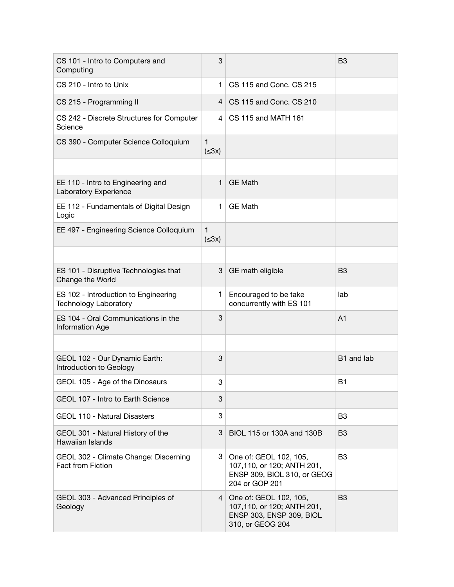| CS 101 - Intro to Computers and<br>Computing                         | 3                |                                                                                                        | B <sub>3</sub> |
|----------------------------------------------------------------------|------------------|--------------------------------------------------------------------------------------------------------|----------------|
| CS 210 - Intro to Unix                                               | $\mathbf{1}$     | CS 115 and Conc. CS 215                                                                                |                |
| CS 215 - Programming II                                              | $\overline{4}$   | CS 115 and Conc. CS 210                                                                                |                |
| CS 242 - Discrete Structures for Computer<br>Science                 | 4                | CS 115 and MATH 161                                                                                    |                |
| CS 390 - Computer Science Colloquium                                 | 1<br>$(\leq 3x)$ |                                                                                                        |                |
|                                                                      |                  |                                                                                                        |                |
| EE 110 - Intro to Engineering and<br>Laboratory Experience           | 1                | <b>GE Math</b>                                                                                         |                |
| EE 112 - Fundamentals of Digital Design<br>Logic                     | 1                | <b>GE Math</b>                                                                                         |                |
| EE 497 - Engineering Science Colloquium                              | 1<br>$(\leq 3x)$ |                                                                                                        |                |
|                                                                      |                  |                                                                                                        |                |
| ES 101 - Disruptive Technologies that<br>Change the World            | 3                | GE math eligible                                                                                       | B <sub>3</sub> |
| ES 102 - Introduction to Engineering<br><b>Technology Laboratory</b> | 1                | Encouraged to be take<br>concurrently with ES 101                                                      | lab            |
| ES 104 - Oral Communications in the<br>Information Age               | 3                |                                                                                                        | A <sub>1</sub> |
|                                                                      |                  |                                                                                                        |                |
| GEOL 102 - Our Dynamic Earth:<br>Introduction to Geology             | 3                |                                                                                                        | B1 and lab     |
| GEOL 105 - Age of the Dinosaurs                                      | 3                |                                                                                                        | B <sub>1</sub> |
| GEOL 107 - Intro to Earth Science                                    | 3                |                                                                                                        |                |
| <b>GEOL 110 - Natural Disasters</b>                                  | 3                |                                                                                                        | B <sub>3</sub> |
| GEOL 301 - Natural History of the<br>Hawaiian Islands                | 3                | BIOL 115 or 130A and 130B                                                                              | B <sub>3</sub> |
| GEOL 302 - Climate Change: Discerning<br>Fact from Fiction           | 3.               | One of: GEOL 102, 105,<br>107,110, or 120; ANTH 201,<br>ENSP 309, BIOL 310, or GEOG<br>204 or GOP 201  | B <sub>3</sub> |
| GEOL 303 - Advanced Principles of<br>Geology                         |                  | 4 One of: GEOL 102, 105,<br>107,110, or 120; ANTH 201,<br>ENSP 303, ENSP 309, BIOL<br>310, or GEOG 204 | B <sub>3</sub> |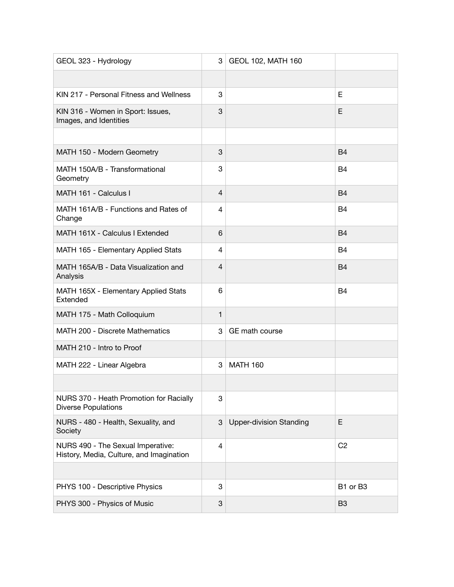| GEOL 323 - Hydrology                                                          | 3                         | GEOL 102, MATH 160             |                |
|-------------------------------------------------------------------------------|---------------------------|--------------------------------|----------------|
|                                                                               |                           |                                |                |
| KIN 217 - Personal Fitness and Wellness                                       | 3                         |                                | Е              |
| KIN 316 - Women in Sport: Issues,<br>Images, and Identities                   | 3                         |                                | Е              |
|                                                                               |                           |                                |                |
| MATH 150 - Modern Geometry                                                    | 3                         |                                | <b>B4</b>      |
| MATH 150A/B - Transformational<br>Geometry                                    | 3                         |                                | B4             |
| MATH 161 - Calculus I                                                         | $\overline{4}$            |                                | <b>B4</b>      |
| MATH 161A/B - Functions and Rates of<br>Change                                | $\overline{4}$            |                                | B4             |
| MATH 161X - Calculus I Extended                                               | 6                         |                                | <b>B4</b>      |
| MATH 165 - Elementary Applied Stats                                           | 4                         |                                | B <sub>4</sub> |
| MATH 165A/B - Data Visualization and<br>Analysis                              | $\overline{4}$            |                                | B <sub>4</sub> |
| MATH 165X - Elementary Applied Stats<br>Extended                              | 6                         |                                | <b>B4</b>      |
| MATH 175 - Math Colloquium                                                    | $\mathbf{1}$              |                                |                |
| MATH 200 - Discrete Mathematics                                               | 3                         | GE math course                 |                |
| MATH 210 - Intro to Proof                                                     |                           |                                |                |
| MATH 222 - Linear Algebra                                                     | 3                         | <b>MATH 160</b>                |                |
|                                                                               |                           |                                |                |
| NURS 370 - Heath Promotion for Racially<br><b>Diverse Populations</b>         | 3                         |                                |                |
| NURS - 480 - Health, Sexuality, and<br>Society                                | 3                         | <b>Upper-division Standing</b> | E              |
| NURS 490 - The Sexual Imperative:<br>History, Media, Culture, and Imagination | 4                         |                                | C <sub>2</sub> |
|                                                                               |                           |                                |                |
| PHYS 100 - Descriptive Physics                                                | 3                         |                                | B1 or B3       |
| PHYS 300 - Physics of Music                                                   | $\ensuremath{\mathsf{3}}$ |                                | B <sub>3</sub> |